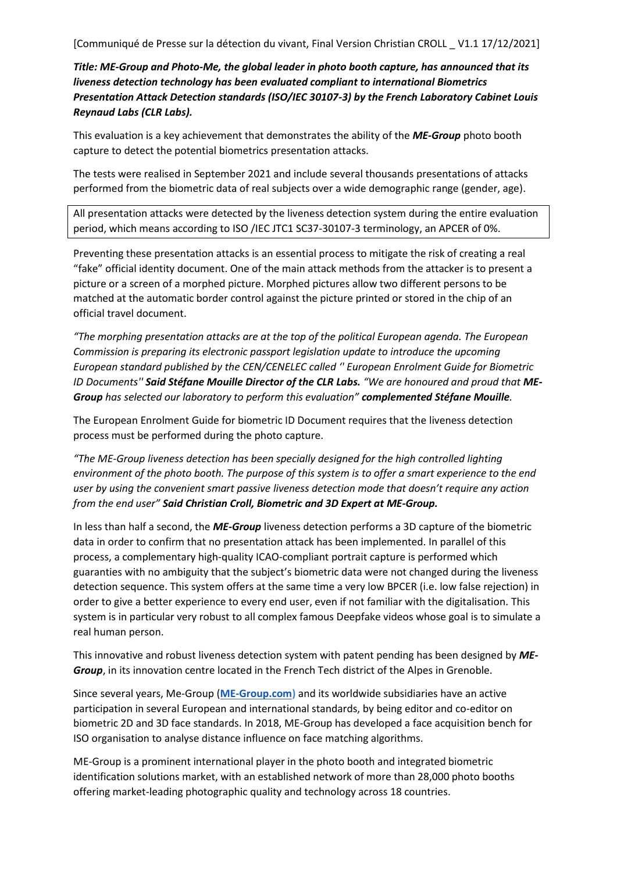[Communiqué de Presse sur la détection du vivant, Final Version Christian CROLL \_ V1.1 17/12/2021]

*Title: ME-Group and Photo-Me, the global leader in photo booth capture, has announced that its liveness detection technology has been evaluated compliant to international Biometrics Presentation Attack Detection standards (ISO/IEC 30107-3) by the French Laboratory Cabinet Louis Reynaud Labs (CLR Labs).* 

This evaluation is a key achievement that demonstrates the ability of the *ME-Group* photo booth capture to detect the potential biometrics presentation attacks.

The tests were realised in September 2021 and include several thousands presentations of attacks performed from the biometric data of real subjects over a wide demographic range (gender, age).

All presentation attacks were detected by the liveness detection system during the entire evaluation period, which means according to ISO /IEC JTC1 SC37-30107-3 terminology, an APCER of 0%.

Preventing these presentation attacks is an essential process to mitigate the risk of creating a real "fake" official identity document. One of the main attack methods from the attacker is to present a picture or a screen of a morphed picture. Morphed pictures allow two different persons to be matched at the automatic border control against the picture printed or stored in the chip of an official travel document.

*"The morphing presentation attacks are at the top of the political European agenda. The European Commission is preparing its electronic passport legislation update to introduce the upcoming European standard published by the CEN/CENELEC called '' European Enrolment Guide for Biometric ID Documents'' Said Stéfane Mouille Director of the CLR Labs. "We are honoured and proud that ME-Group has selected our laboratory to perform this evaluation" complemented Stéfane Mouille.*

The European Enrolment Guide for biometric ID Document requires that the liveness detection process must be performed during the photo capture.

*"The ME-Group liveness detection has been specially designed for the high controlled lighting environment of the photo booth. The purpose of this system is to offer a smart experience to the end user by using the convenient smart passive liveness detection mode that doesn't require any action from the end user" Said Christian Croll, Biometric and 3D Expert at ME-Group.*

In less than half a second, the *ME-Group* liveness detection performs a 3D capture of the biometric data in order to confirm that no presentation attack has been implemented. In parallel of this process, a complementary high-quality ICAO-compliant portrait capture is performed which guaranties with no ambiguity that the subject's biometric data were not changed during the liveness detection sequence. This system offers at the same time a very low BPCER (i.e. low false rejection) in order to give a better experience to every end user, even if not familiar with the digitalisation. This system is in particular very robust to all complex famous Deepfake videos whose goal is to simulate a real human person.

This innovative and robust liveness detection system with patent pending has been designed by *ME-Group*, in its innovation centre located in the French Tech district of the Alpes in Grenoble.

Since several years, Me-Group (**[ME-Group.com\)](https://photo-me.com/)** and its worldwide subsidiaries have an active participation in several European and international standards, by being editor and co-editor on biometric 2D and 3D face standards. In 2018, ME-Group has developed a face acquisition bench for ISO organisation to analyse distance influence on face matching algorithms.

ME-Group is a prominent international player in the photo booth and integrated biometric identification solutions market, with an established network of more than 28,000 photo booths offering market-leading photographic quality and technology across 18 countries.